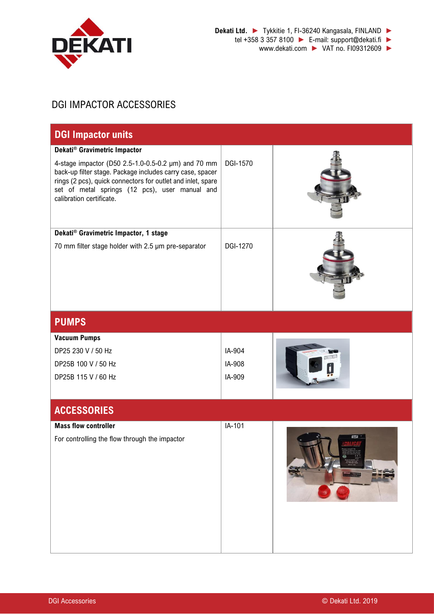

www.dekati.com ► VAT no. FI09312609 ►

## DGI IMPACTOR ACCESSORIES

| <b>DGI Impactor units</b>                                                                                                                                                                                                                                                                     |                  |  |  |
|-----------------------------------------------------------------------------------------------------------------------------------------------------------------------------------------------------------------------------------------------------------------------------------------------|------------------|--|--|
| Dekati® Gravimetric Impactor<br>4-stage impactor (D50 2.5-1.0-0.5-0.2 µm) and 70 mm<br>back-up filter stage. Package includes carry case, spacer<br>rings (2 pcs), quick connectors for outlet and inlet, spare<br>set of metal springs (12 pcs), user manual and<br>calibration certificate. | <b>DGI-1570</b>  |  |  |
| Dekati® Gravimetric Impactor, 1 stage                                                                                                                                                                                                                                                         |                  |  |  |
| 70 mm filter stage holder with 2.5 µm pre-separator                                                                                                                                                                                                                                           | DGI-1270         |  |  |
| <b>PUMPS</b>                                                                                                                                                                                                                                                                                  |                  |  |  |
| <b>Vacuum Pumps</b>                                                                                                                                                                                                                                                                           |                  |  |  |
| DP25 230 V / 50 Hz<br>DP25B 100 V / 50 Hz                                                                                                                                                                                                                                                     | IA-904<br>IA-908 |  |  |
| DP25B 115 V / 60 Hz                                                                                                                                                                                                                                                                           | IA-909           |  |  |
| <b>ACCESSORIES</b>                                                                                                                                                                                                                                                                            |                  |  |  |
| <b>Mass flow controller</b><br>For controlling the flow through the impactor                                                                                                                                                                                                                  | IA-101           |  |  |